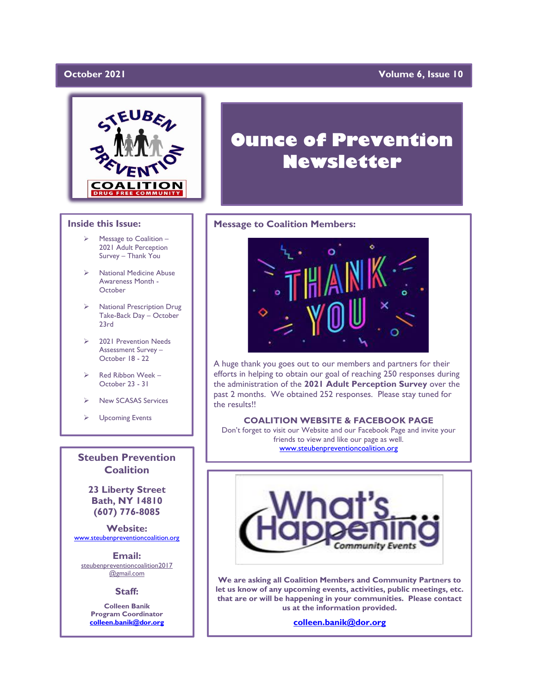### October 2021

### **Volume 6, Issue 10**



### **Inside this Issue:**

- Message to Coalition -2021 Adult Perception Survey – Thank You
- ➢ National Medicine Abuse Awareness Month - **October**
- ➢ National Prescription Drug Take-Back Day – October 23rd
- ➢ 2021 Prevention Needs Assessment Survey – October 18 - 22
- ➢ Red Ribbon Week October 23 - 31
- ➢ New SCASAS Services
- ➢ Upcoming Events

**Steuben Prevention Coalition**

**23 Liberty Street Bath, NY 14810 (607) 776-8085**

**Website:**  [www.steubenpreventioncoalition.org](http://www.steubenpreventioncoalition.org/)

**Email:**  steubenpreventioncoalition2017 @gmail.com

**Staff:**

**Colleen Banik Program Coordinator [colleen.banik@dor.org](mailto:colleen.banik@dor.org)**

# **Ounce of Prevention Newsletter**

### **Message to Coalition Members:**



A huge thank you goes out to our members and partners for their efforts in helping to obtain our goal of reaching 250 responses during the administration of the **2021 Adult Perception Survey** over the past 2 months. We obtained 252 responses. Please stay tuned for the results!!

### **COALITION WEBSITE & FACEBOOK PAGE**

Don't forget to visit our Website and our Facebook Page and invite your friends to view and like our page as well. [www.steubenpreventioncoalition.org](http://www.steubenpreventioncoalition.org/)



**We are asking all Coalition Members and Community Partners to let us know of any upcoming events, activities, public meetings, etc. that are or will be happening in your communities. Please contact us at the information provided.**

**[colleen.banik@dor.org](mailto:colleen.banik@dor.org)**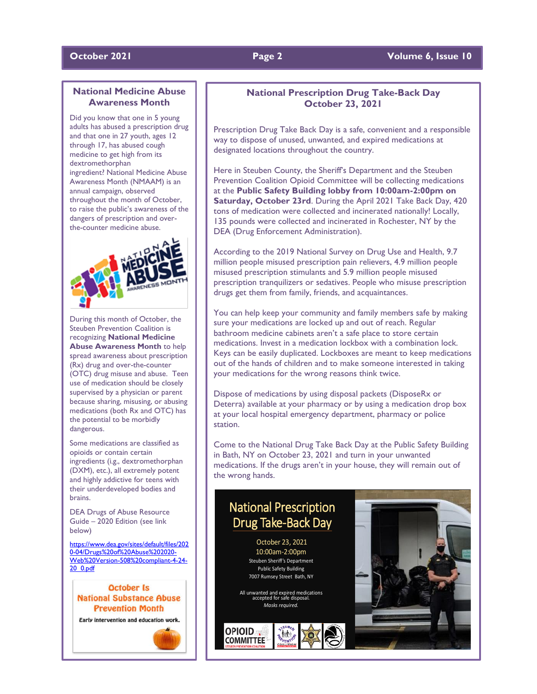### **October 2021 Page 2 Volume 6, Issue 10**

### **National Medicine Abuse Awareness Month**

Did you know that one in 5 young<br>adults has abused a prescription drug Did you know that one in 5 young and that one in 27 youth, ages 12 through 17, has abused cough medicine to get high from its dextromethorphan ingredient? National Medicine Abuse Awareness Month (NMAAM) is an annual campaign, observed throughout the month of October, to raise the public's awareness of the dangers of prescription and overthe-counter medicine abuse.



During this month of October, the Steuben Prevention Coalition is recognizing **National Medicine Abuse Awareness Month** to help spread awareness about prescription (Rx) drug and over-the-counter (OTC) drug misuse and abuse. Teen use of medication should be closely supervised by a physician or parent because sharing, misusing, or abusing medications (both Rx and OTC) has the potential to be morbidly dangerous.

Some medications are classified as opioids or contain certain ingredients (i.g., dextromethorphan (DXM), etc.), all extremely potent and highly addictive for teens with their underdeveloped bodies and brains.

DEA Drugs of Abuse Resource Guide – 2020 Edition (see link below)

[https://www.dea.gov/sites/default/files/202](https://www.dea.gov/sites/default/files/2020-04/Drugs%20of%20Abuse%202020-Web%20Version-508%20compliant-4-24-20_0.pdf) [0-04/Drugs%20of%20Abuse%202020-](https://www.dea.gov/sites/default/files/2020-04/Drugs%20of%20Abuse%202020-Web%20Version-508%20compliant-4-24-20_0.pdf) [Web%20Version-508%20compliant-4-24-](https://www.dea.gov/sites/default/files/2020-04/Drugs%20of%20Abuse%202020-Web%20Version-508%20compliant-4-24-20_0.pdf) [20\\_0.pdf](https://www.dea.gov/sites/default/files/2020-04/Drugs%20of%20Abuse%202020-Web%20Version-508%20compliant-4-24-20_0.pdf)





### **National Prescription Drug Take-Back Day October 23, 2021**

Prescription Drug Take Back Day is a safe, convenient and a responsible way to dispose of unused, unwanted, and expired medications at designated locations throughout the country.

Here in Steuben County, the Sheriff's Department and the Steuben Prevention Coalition Opioid Committee will be collecting medications at the **Public Safety Building lobby from 10:00am-2:00pm on Saturday, October 23rd**. During the April 2021 Take Back Day, 420 tons of medication were collected and incinerated nationally! Locally, 135 pounds were collected and incinerated in Rochester, NY by the DEA (Drug Enforcement Administration).

According to the 2019 National Survey on Drug Use and Health, 9.7 million people misused prescription pain relievers, 4.9 million people misused prescription stimulants and 5.9 million people misused prescription tranquilizers or sedatives. People who misuse prescription drugs get them from family, friends, and acquaintances.

You can help keep your community and family members safe by making sure your medications are locked up and out of reach. Regular bathroom medicine cabinets aren't a safe place to store certain medications. Invest in a medication lockbox with a combination lock. Keys can be easily duplicated. Lockboxes are meant to keep medications out of the hands of children and to make someone interested in taking your medications for the wrong reasons think twice.

Dispose of medications by using disposal packets (DisposeRx or Deterra) available at your pharmacy or by using a medication drop box at your local hospital emergency department, pharmacy or police station.

Come to the National Drug Take Back Day at the Public Safety Building in Bath, NY on October 23, 2021 and turn in your unwanted medications. If the drugs aren't in your house, they will remain out of the wrong hands.

# National Prescription Drug Take-Back Day

October 23, 2021 10:00am-2:00pm Steuben Sheriff's Department Public Safety Building 7007 Rumsey Street Bath, NY

All unwanted and expired medications accepted for safe disposal. *Masks required.*

OPIOID<sub></sub> **COMMITTEE** 

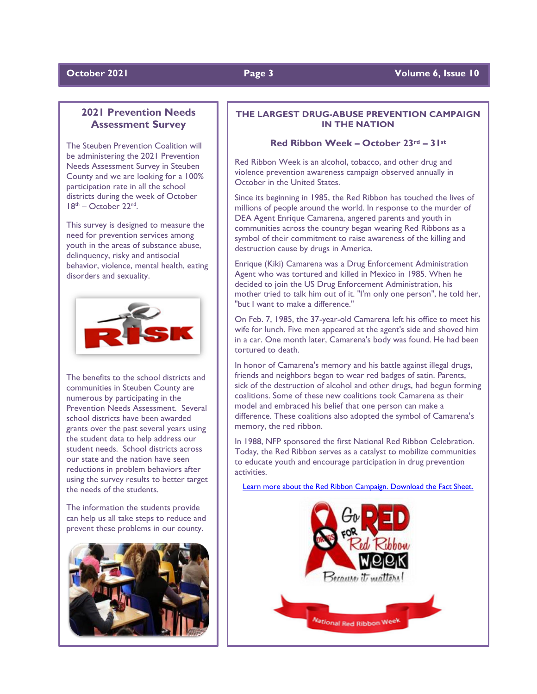### **2021 Prevention Needs Assessment Survey**

The Steuben Prevention Coalition will be administering the 2021 Prevention Needs Assessment Survey in Steuben County and we are looking for a 100% participation rate in all the school districts during the week of October  $18<sup>th</sup>$  – October 22<sup>nd</sup>.

This survey is designed to measure the need for prevention services among youth in the areas of substance abuse, delinquency, risky and antisocial behavior, violence, mental health, eating disorders and sexuality.



The benefits to the school districts and communities in Steuben County are numerous by participating in the Prevention Needs Assessment. Several school districts have been awarded grants over the past several years using the student data to help address our student needs. School districts across our state and the nation have seen reductions in problem behaviors after using the survey results to better target the needs of the students.

The information the students provide can help us all take steps to reduce and prevent these problems in our county.



### **THE LARGEST DRUG-ABUSE PREVENTION CAMPAIGN IN THE NATION**

### **Red Ribbon Week – October 23rd – 31st**

Red Ribbon Week is an alcohol, tobacco, and other drug and violence prevention awareness campaign observed annually in October in the United States.

Since its beginning in 1985, the Red Ribbon has touched the lives of millions of people around the world. In response to the murder of DEA Agent Enrique Camarena, angered parents and youth in communities across the country began wearing Red Ribbons as a symbol of their commitment to raise awareness of the killing and destruction cause by drugs in America.

Enrique (Kiki) Camarena was a Drug Enforcement Administration Agent who was tortured and killed in Mexico in 1985. When he decided to join the US Drug Enforcement Administration, his mother tried to talk him out of it. "I'm only one person", he told her, "but I want to make a difference."

On Feb. 7, 1985, the 37-year-old Camarena left his office to meet his wife for lunch. Five men appeared at the agent's side and shoved him in a car. One month later, Camarena's body was found. He had been tortured to death.

In honor of Camarena's memory and his battle against illegal drugs, friends and neighbors began to wear red badges of satin. Parents, sick of the destruction of alcohol and other drugs, had begun forming coalitions. Some of these new coalitions took Camarena as their model and embraced his belief that one person can make a difference. These coalitions also adopted the symbol of Camarena's memory, the red ribbon.

In 1988, NFP sponsored the first National Red Ribbon Celebration. Today, the Red Ribbon serves as a catalyst to mobilize communities to educate youth and encourage participation in drug prevention activities.

[Learn more about the Red Ribbon Campaign. Download the Fact Sheet.](https://cdn2.hubspot.net/hubfs/413387/2020_Factsheet_.pdf)